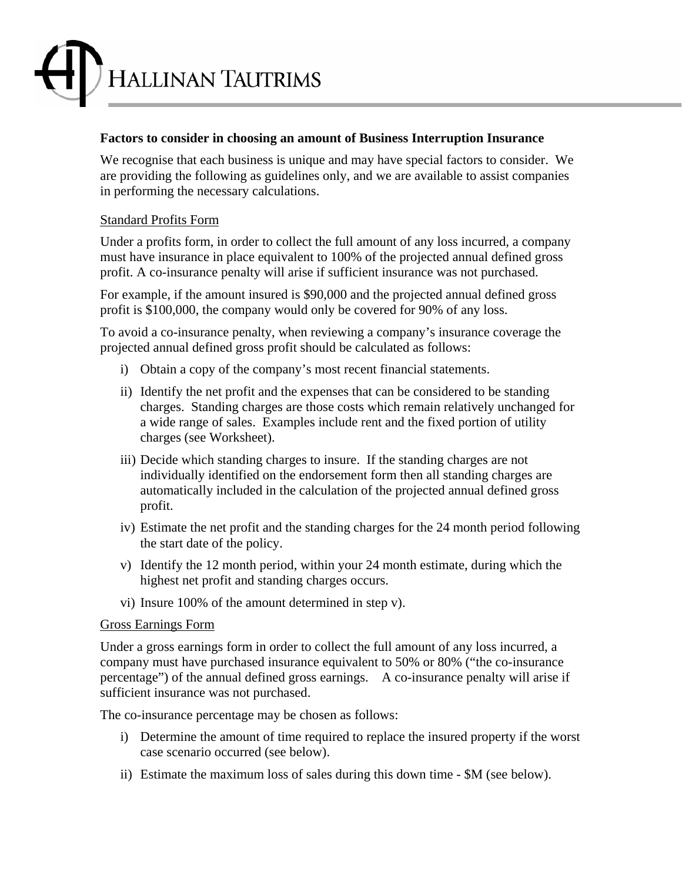

## **Factors to consider in choosing an amount of Business Interruption Insurance**

We recognise that each business is unique and may have special factors to consider. We are providing the following as guidelines only, and we are available to assist companies in performing the necessary calculations.

### Standard Profits Form

Under a profits form, in order to collect the full amount of any loss incurred, a company must have insurance in place equivalent to 100% of the projected annual defined gross profit. A co-insurance penalty will arise if sufficient insurance was not purchased.

For example, if the amount insured is \$90,000 and the projected annual defined gross profit is \$100,000, the company would only be covered for 90% of any loss.

To avoid a co-insurance penalty, when reviewing a company's insurance coverage the projected annual defined gross profit should be calculated as follows:

- i) Obtain a copy of the company's most recent financial statements.
- ii) Identify the net profit and the expenses that can be considered to be standing charges. Standing charges are those costs which remain relatively unchanged for a wide range of sales. Examples include rent and the fixed portion of utility charges (see Worksheet).
- iii) Decide which standing charges to insure. If the standing charges are not individually identified on the endorsement form then all standing charges are automatically included in the calculation of the projected annual defined gross profit.
- iv) Estimate the net profit and the standing charges for the 24 month period following the start date of the policy.
- v) Identify the 12 month period, within your 24 month estimate, during which the highest net profit and standing charges occurs.
- vi) Insure 100% of the amount determined in step v).

#### Gross Earnings Form

Under a gross earnings form in order to collect the full amount of any loss incurred, a company must have purchased insurance equivalent to 50% or 80% ("the co-insurance percentage") of the annual defined gross earnings. A co-insurance penalty will arise if sufficient insurance was not purchased.

The co-insurance percentage may be chosen as follows:

- i) Determine the amount of time required to replace the insured property if the worst case scenario occurred (see below).
- ii) Estimate the maximum loss of sales during this down time \$M (see below).